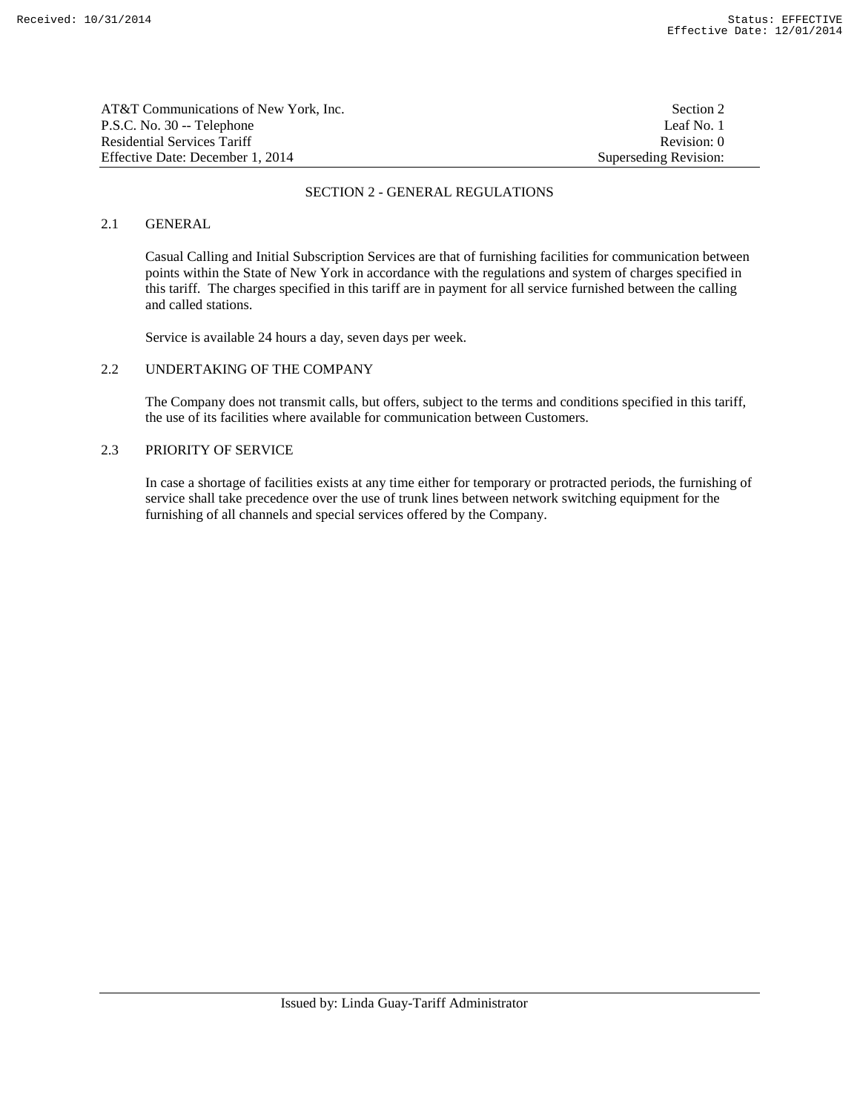| AT&T Communications of New York. Inc. | Section 2             |
|---------------------------------------|-----------------------|
| P.S.C. No. 30 -- Telephone            | Leaf No. 1            |
| Residential Services Tariff           | Revision: 0           |
| Effective Date: December 1, 2014      | Superseding Revision: |

# 2.1 GENERAL

 Casual Calling and Initial Subscription Services are that of furnishing facilities for communication between points within the State of New York in accordance with the regulations and system of charges specified in this tariff. The charges specified in this tariff are in payment for all service furnished between the calling and called stations.

Service is available 24 hours a day, seven days per week.

## 2.2 UNDERTAKING OF THE COMPANY

 The Company does not transmit calls, but offers, subject to the terms and conditions specified in this tariff, the use of its facilities where available for communication between Customers.

# 2.3 PRIORITY OF SERVICE

 In case a shortage of facilities exists at any time either for temporary or protracted periods, the furnishing of service shall take precedence over the use of trunk lines between network switching equipment for the furnishing of all channels and special services offered by the Company.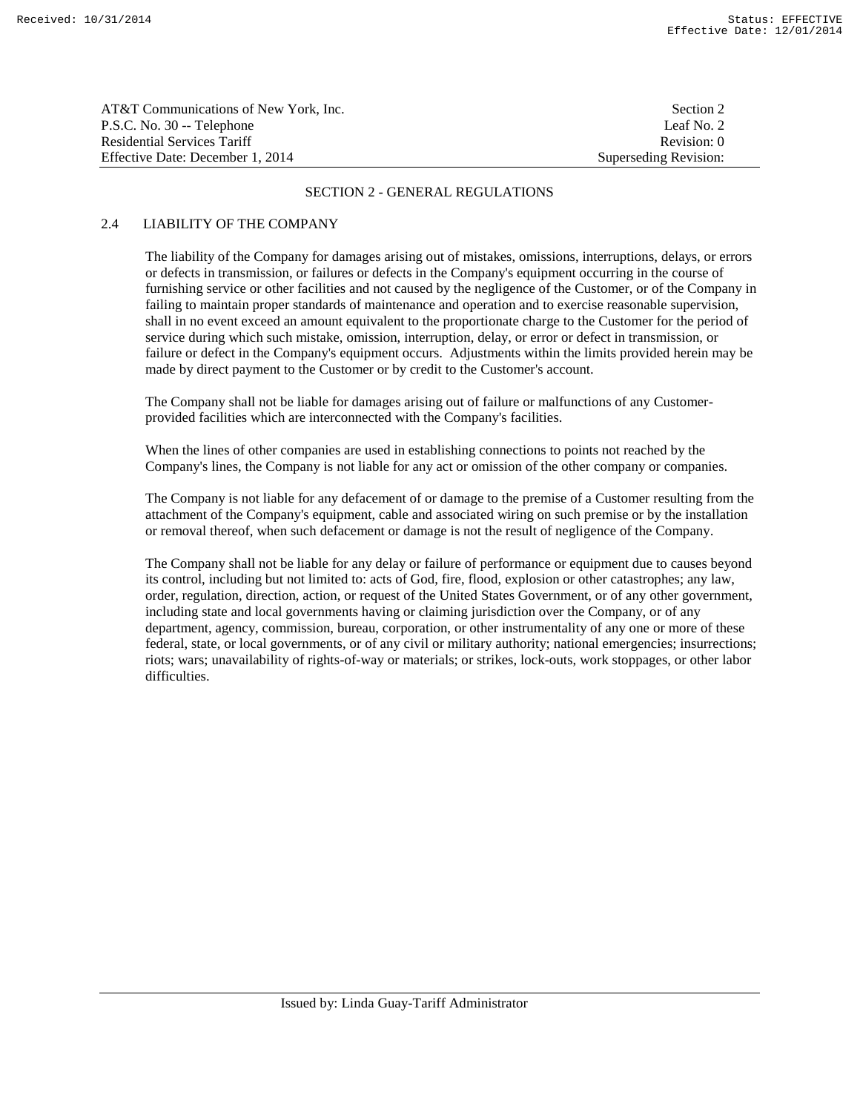| AT&T Communications of New York, Inc. | Section 2             |
|---------------------------------------|-----------------------|
| P.S.C. No. 30 -- Telephone            | Leaf No. 2            |
| Residential Services Tariff           | Revision: 0           |
| Effective Date: December 1, 2014      | Superseding Revision: |

# 2.4 LIABILITY OF THE COMPANY

 The liability of the Company for damages arising out of mistakes, omissions, interruptions, delays, or errors or defects in transmission, or failures or defects in the Company's equipment occurring in the course of furnishing service or other facilities and not caused by the negligence of the Customer, or of the Company in failing to maintain proper standards of maintenance and operation and to exercise reasonable supervision, shall in no event exceed an amount equivalent to the proportionate charge to the Customer for the period of service during which such mistake, omission, interruption, delay, or error or defect in transmission, or failure or defect in the Company's equipment occurs. Adjustments within the limits provided herein may be made by direct payment to the Customer or by credit to the Customer's account.

 The Company shall not be liable for damages arising out of failure or malfunctions of any Customerprovided facilities which are interconnected with the Company's facilities.

 When the lines of other companies are used in establishing connections to points not reached by the Company's lines, the Company is not liable for any act or omission of the other company or companies.

 The Company is not liable for any defacement of or damage to the premise of a Customer resulting from the attachment of the Company's equipment, cable and associated wiring on such premise or by the installation or removal thereof, when such defacement or damage is not the result of negligence of the Company.

 The Company shall not be liable for any delay or failure of performance or equipment due to causes beyond its control, including but not limited to: acts of God, fire, flood, explosion or other catastrophes; any law, order, regulation, direction, action, or request of the United States Government, or of any other government, including state and local governments having or claiming jurisdiction over the Company, or of any department, agency, commission, bureau, corporation, or other instrumentality of any one or more of these federal, state, or local governments, or of any civil or military authority; national emergencies; insurrections; riots; wars; unavailability of rights-of-way or materials; or strikes, lock-outs, work stoppages, or other labor difficulties.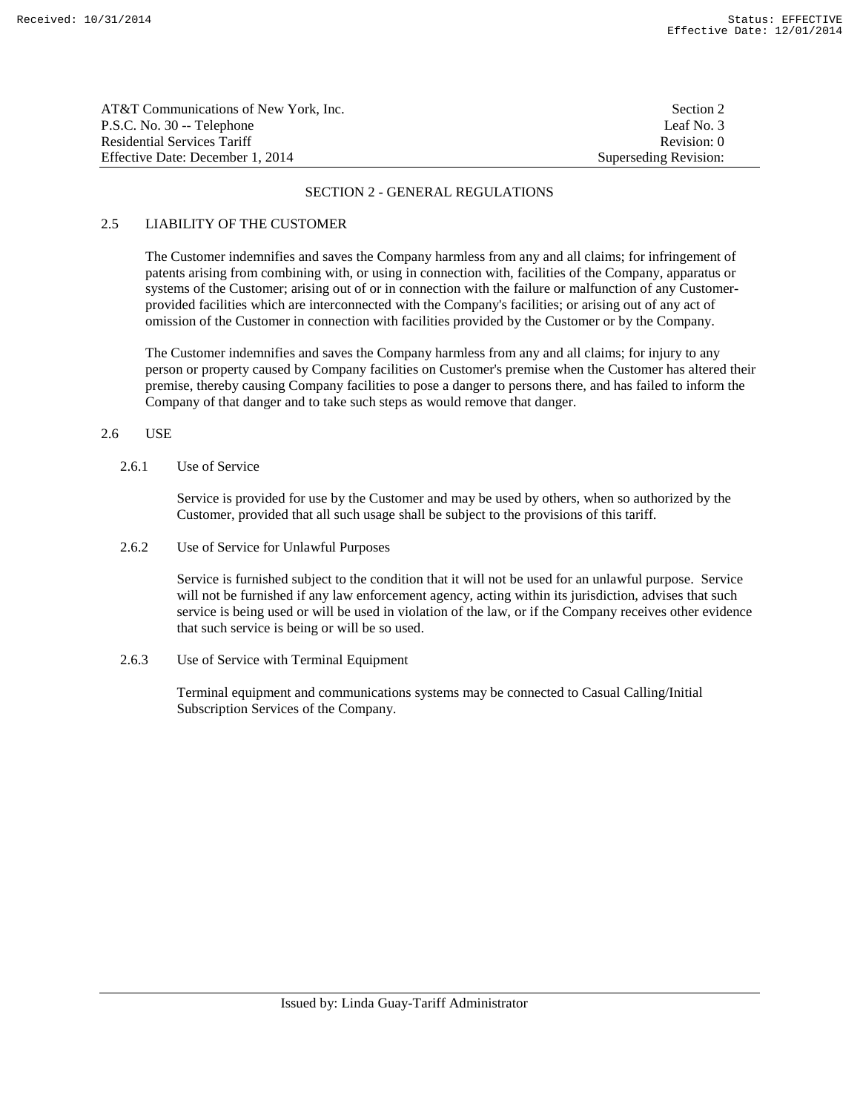| AT&T Communications of New York, Inc. | Section 2             |
|---------------------------------------|-----------------------|
| P.S.C. No. 30 -- Telephone            | Leaf No. 3            |
| <b>Residential Services Tariff</b>    | Revision: 0           |
| Effective Date: December 1, 2014      | Superseding Revision: |

# 2.5 LIABILITY OF THE CUSTOMER

 The Customer indemnifies and saves the Company harmless from any and all claims; for infringement of patents arising from combining with, or using in connection with, facilities of the Company, apparatus or systems of the Customer; arising out of or in connection with the failure or malfunction of any Customerprovided facilities which are interconnected with the Company's facilities; or arising out of any act of omission of the Customer in connection with facilities provided by the Customer or by the Company.

 The Customer indemnifies and saves the Company harmless from any and all claims; for injury to any person or property caused by Company facilities on Customer's premise when the Customer has altered their premise, thereby causing Company facilities to pose a danger to persons there, and has failed to inform the Company of that danger and to take such steps as would remove that danger.

## 2.6 USE

2.6.1 Use of Service

 Service is provided for use by the Customer and may be used by others, when so authorized by the Customer, provided that all such usage shall be subject to the provisions of this tariff.

2.6.2 Use of Service for Unlawful Purposes

 Service is furnished subject to the condition that it will not be used for an unlawful purpose. Service will not be furnished if any law enforcement agency, acting within its jurisdiction, advises that such service is being used or will be used in violation of the law, or if the Company receives other evidence that such service is being or will be so used.

2.6.3 Use of Service with Terminal Equipment

 Terminal equipment and communications systems may be connected to Casual Calling/Initial Subscription Services of the Company.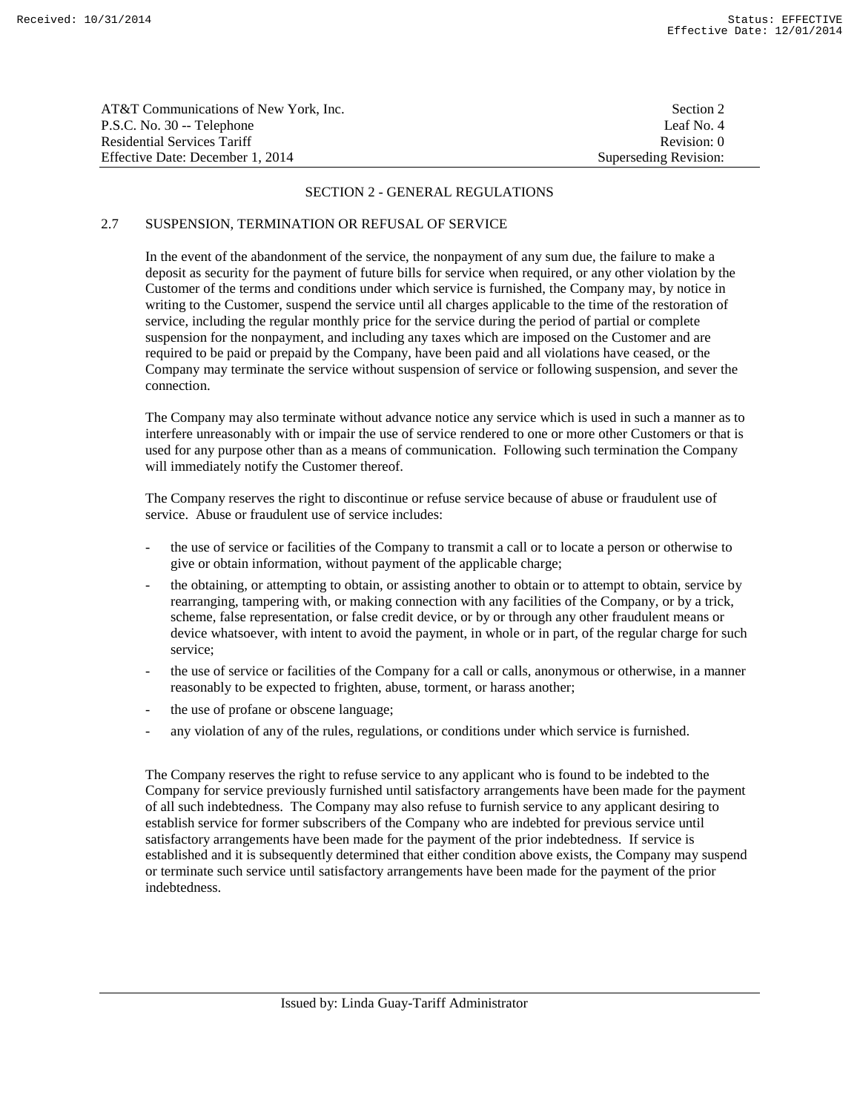| AT&T Communications of New York, Inc. | Section 2             |
|---------------------------------------|-----------------------|
| P.S.C. No. 30 -- Telephone            | Leaf No. 4            |
| <b>Residential Services Tariff</b>    | Revision: 0           |
| Effective Date: December 1, 2014      | Superseding Revision: |

# 2.7 SUSPENSION, TERMINATION OR REFUSAL OF SERVICE

 In the event of the abandonment of the service, the nonpayment of any sum due, the failure to make a deposit as security for the payment of future bills for service when required, or any other violation by the Customer of the terms and conditions under which service is furnished, the Company may, by notice in writing to the Customer, suspend the service until all charges applicable to the time of the restoration of service, including the regular monthly price for the service during the period of partial or complete suspension for the nonpayment, and including any taxes which are imposed on the Customer and are required to be paid or prepaid by the Company, have been paid and all violations have ceased, or the Company may terminate the service without suspension of service or following suspension, and sever the connection.

 The Company may also terminate without advance notice any service which is used in such a manner as to interfere unreasonably with or impair the use of service rendered to one or more other Customers or that is used for any purpose other than as a means of communication. Following such termination the Company will immediately notify the Customer thereof.

 The Company reserves the right to discontinue or refuse service because of abuse or fraudulent use of service. Abuse or fraudulent use of service includes:

- the use of service or facilities of the Company to transmit a call or to locate a person or otherwise to give or obtain information, without payment of the applicable charge;
- the obtaining, or attempting to obtain, or assisting another to obtain or to attempt to obtain, service by rearranging, tampering with, or making connection with any facilities of the Company, or by a trick, scheme, false representation, or false credit device, or by or through any other fraudulent means or device whatsoever, with intent to avoid the payment, in whole or in part, of the regular charge for such service;
- the use of service or facilities of the Company for a call or calls, anonymous or otherwise, in a manner reasonably to be expected to frighten, abuse, torment, or harass another;
- the use of profane or obscene language;
- any violation of any of the rules, regulations, or conditions under which service is furnished.

 The Company reserves the right to refuse service to any applicant who is found to be indebted to the Company for service previously furnished until satisfactory arrangements have been made for the payment of all such indebtedness. The Company may also refuse to furnish service to any applicant desiring to establish service for former subscribers of the Company who are indebted for previous service until satisfactory arrangements have been made for the payment of the prior indebtedness. If service is established and it is subsequently determined that either condition above exists, the Company may suspend or terminate such service until satisfactory arrangements have been made for the payment of the prior indebtedness.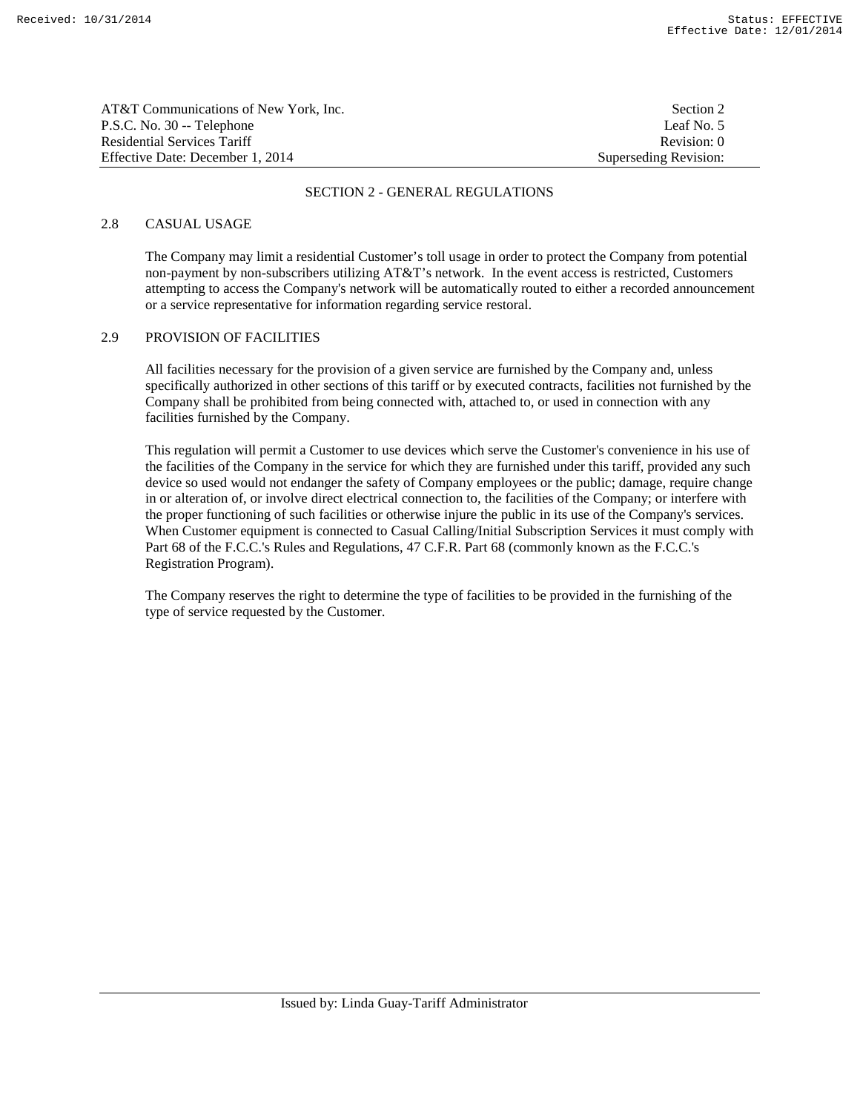| AT&T Communications of New York, Inc. | Section 2             |
|---------------------------------------|-----------------------|
| P.S.C. No. 30 -- Telephone            | Leaf No. 5            |
| Residential Services Tariff           | Revision: 0           |
| Effective Date: December 1, 2014      | Superseding Revision: |

## 2.8 CASUAL USAGE

 The Company may limit a residential Customer's toll usage in order to protect the Company from potential non-payment by non-subscribers utilizing AT&T's network. In the event access is restricted, Customers attempting to access the Company's network will be automatically routed to either a recorded announcement or a service representative for information regarding service restoral.

### 2.9 PROVISION OF FACILITIES

 All facilities necessary for the provision of a given service are furnished by the Company and, unless specifically authorized in other sections of this tariff or by executed contracts, facilities not furnished by the Company shall be prohibited from being connected with, attached to, or used in connection with any facilities furnished by the Company.

 This regulation will permit a Customer to use devices which serve the Customer's convenience in his use of the facilities of the Company in the service for which they are furnished under this tariff, provided any such device so used would not endanger the safety of Company employees or the public; damage, require change in or alteration of, or involve direct electrical connection to, the facilities of the Company; or interfere with the proper functioning of such facilities or otherwise injure the public in its use of the Company's services. When Customer equipment is connected to Casual Calling/Initial Subscription Services it must comply with Part 68 of the F.C.C.'s Rules and Regulations, 47 C.F.R. Part 68 (commonly known as the F.C.C.'s Registration Program).

 The Company reserves the right to determine the type of facilities to be provided in the furnishing of the type of service requested by the Customer.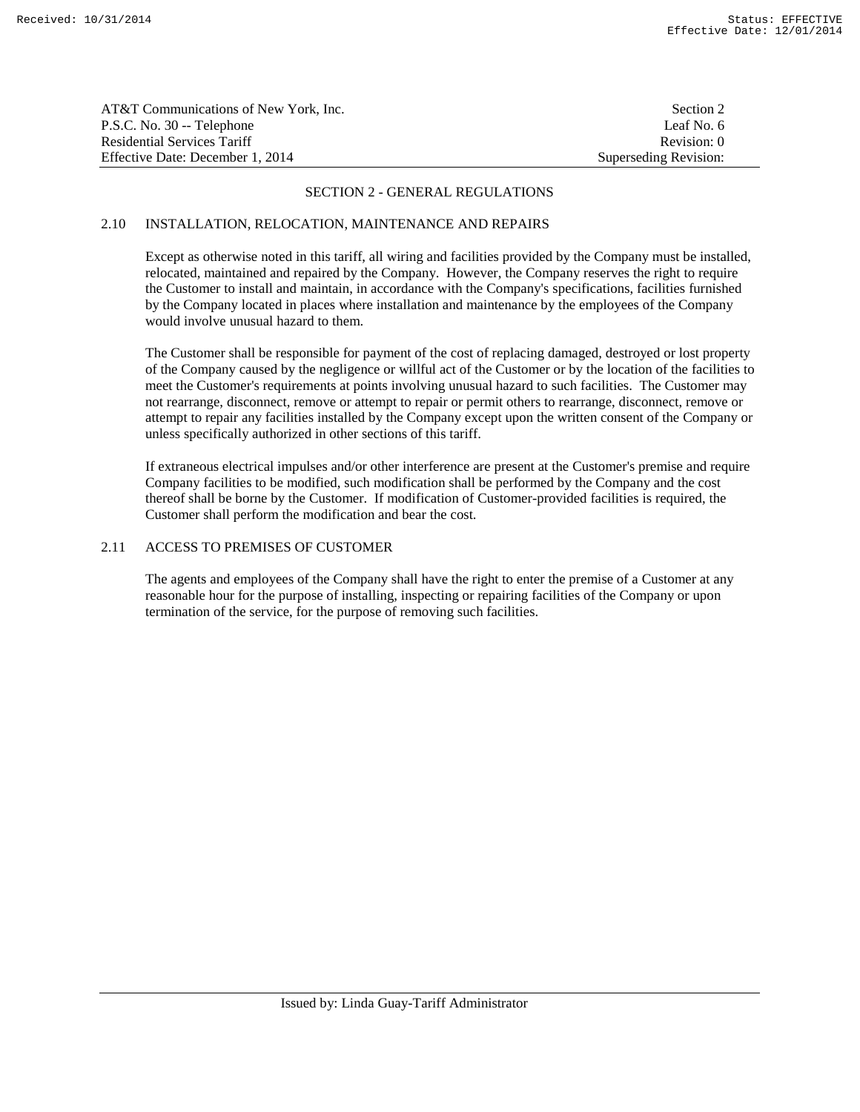| AT&T Communications of New York, Inc. | Section 2             |
|---------------------------------------|-----------------------|
| P.S.C. No. 30 -- Telephone            | Leaf No. 6            |
| Residential Services Tariff           | Revision: 0           |
| Effective Date: December 1, 2014      | Superseding Revision: |

# 2.10 INSTALLATION, RELOCATION, MAINTENANCE AND REPAIRS

 Except as otherwise noted in this tariff, all wiring and facilities provided by the Company must be installed, relocated, maintained and repaired by the Company. However, the Company reserves the right to require the Customer to install and maintain, in accordance with the Company's specifications, facilities furnished by the Company located in places where installation and maintenance by the employees of the Company would involve unusual hazard to them.

 The Customer shall be responsible for payment of the cost of replacing damaged, destroyed or lost property of the Company caused by the negligence or willful act of the Customer or by the location of the facilities to meet the Customer's requirements at points involving unusual hazard to such facilities. The Customer may not rearrange, disconnect, remove or attempt to repair or permit others to rearrange, disconnect, remove or attempt to repair any facilities installed by the Company except upon the written consent of the Company or unless specifically authorized in other sections of this tariff.

 If extraneous electrical impulses and/or other interference are present at the Customer's premise and require Company facilities to be modified, such modification shall be performed by the Company and the cost thereof shall be borne by the Customer. If modification of Customer-provided facilities is required, the Customer shall perform the modification and bear the cost.

# 2.11 ACCESS TO PREMISES OF CUSTOMER

 The agents and employees of the Company shall have the right to enter the premise of a Customer at any reasonable hour for the purpose of installing, inspecting or repairing facilities of the Company or upon termination of the service, for the purpose of removing such facilities.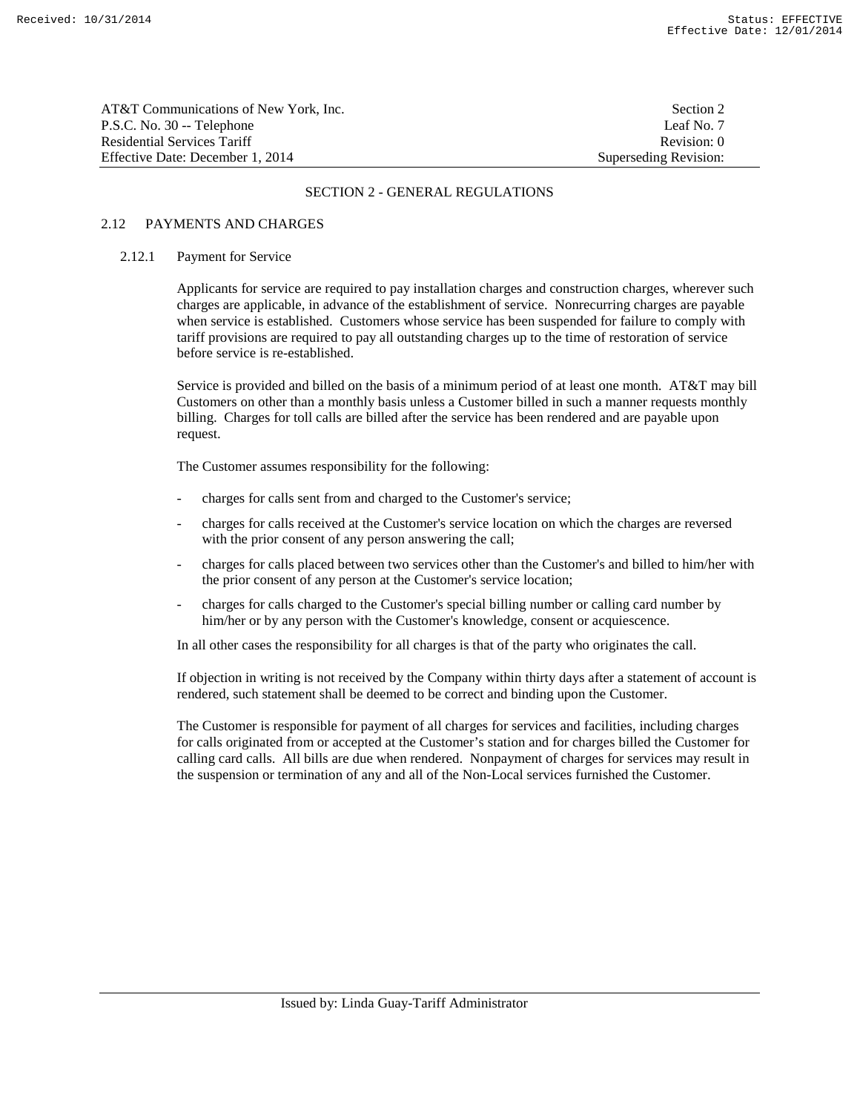| AT&T Communications of New York, Inc. | Section 2             |
|---------------------------------------|-----------------------|
| P.S.C. No. 30 -- Telephone            | Leaf No. 7            |
| Residential Services Tariff           | Revision: 0           |
| Effective Date: December 1. 2014      | Superseding Revision: |

# 2.12 PAYMENTS AND CHARGES

### 2.12.1 Payment for Service

 Applicants for service are required to pay installation charges and construction charges, wherever such charges are applicable, in advance of the establishment of service. Nonrecurring charges are payable when service is established. Customers whose service has been suspended for failure to comply with tariff provisions are required to pay all outstanding charges up to the time of restoration of service before service is re-established.

 Service is provided and billed on the basis of a minimum period of at least one month. AT&T may bill Customers on other than a monthly basis unless a Customer billed in such a manner requests monthly billing. Charges for toll calls are billed after the service has been rendered and are payable upon request.

The Customer assumes responsibility for the following:

- charges for calls sent from and charged to the Customer's service;
- charges for calls received at the Customer's service location on which the charges are reversed with the prior consent of any person answering the call;
- charges for calls placed between two services other than the Customer's and billed to him/her with the prior consent of any person at the Customer's service location;
- charges for calls charged to the Customer's special billing number or calling card number by him/her or by any person with the Customer's knowledge, consent or acquiescence.

In all other cases the responsibility for all charges is that of the party who originates the call.

 If objection in writing is not received by the Company within thirty days after a statement of account is rendered, such statement shall be deemed to be correct and binding upon the Customer.

 The Customer is responsible for payment of all charges for services and facilities, including charges for calls originated from or accepted at the Customer's station and for charges billed the Customer for calling card calls. All bills are due when rendered. Nonpayment of charges for services may result in the suspension or termination of any and all of the Non-Local services furnished the Customer.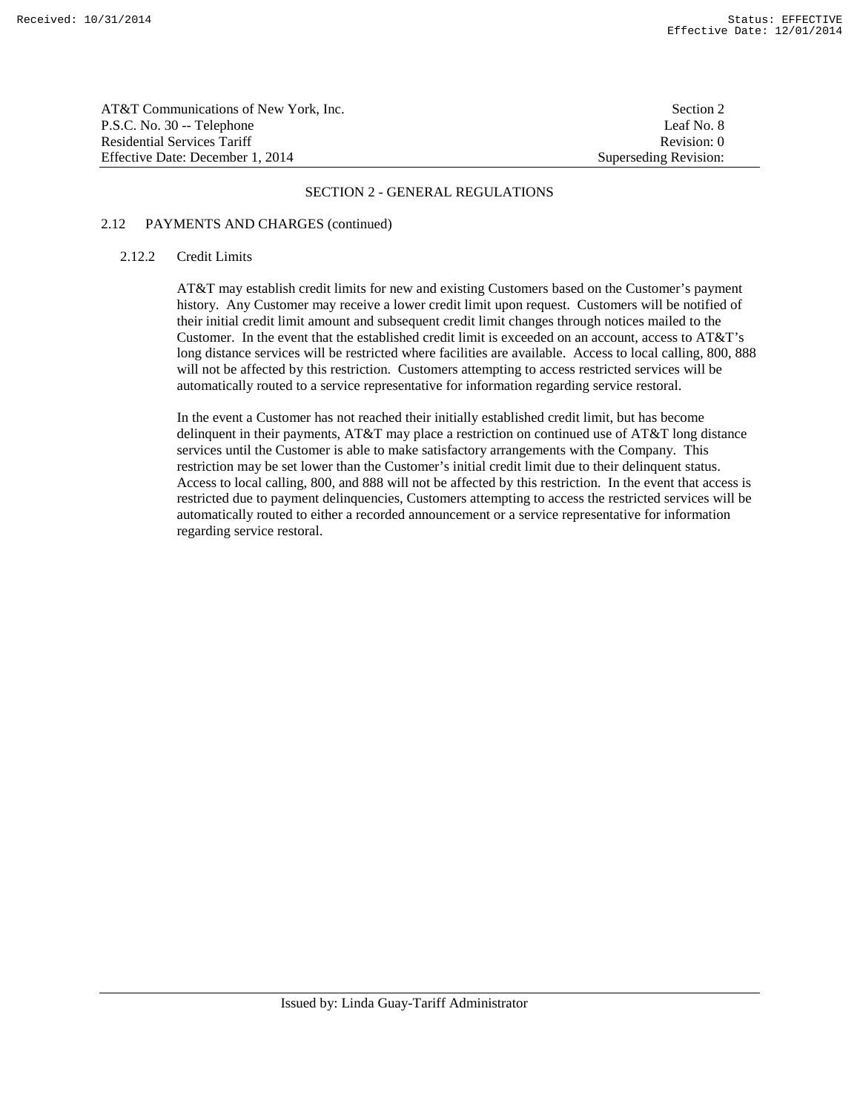| AT&T Communications of New York. Inc. | Section 2             |
|---------------------------------------|-----------------------|
| P.S.C. No. 30 -- Telephone            | Leaf No. 8            |
| Residential Services Tariff           | Revision: 0           |
| Effective Date: December 1, 2014      | Superseding Revision: |

## 2.12 PAYMENTS AND CHARGES (continued)

# 2.12.2 Credit Limits

 AT&T may establish credit limits for new and existing Customers based on the Customer's payment history. Any Customer may receive a lower credit limit upon request. Customers will be notified of their initial credit limit amount and subsequent credit limit changes through notices mailed to the Customer. In the event that the established credit limit is exceeded on an account, access to AT&T's long distance services will be restricted where facilities are available. Access to local calling, 800, 888 will not be affected by this restriction. Customers attempting to access restricted services will be automatically routed to a service representative for information regarding service restoral.

 In the event a Customer has not reached their initially established credit limit, but has become delinquent in their payments, AT&T may place a restriction on continued use of AT&T long distance services until the Customer is able to make satisfactory arrangements with the Company. This restriction may be set lower than the Customer's initial credit limit due to their delinquent status. Access to local calling, 800, and 888 will not be affected by this restriction. In the event that access is restricted due to payment delinquencies, Customers attempting to access the restricted services will be automatically routed to either a recorded announcement or a service representative for information regarding service restoral.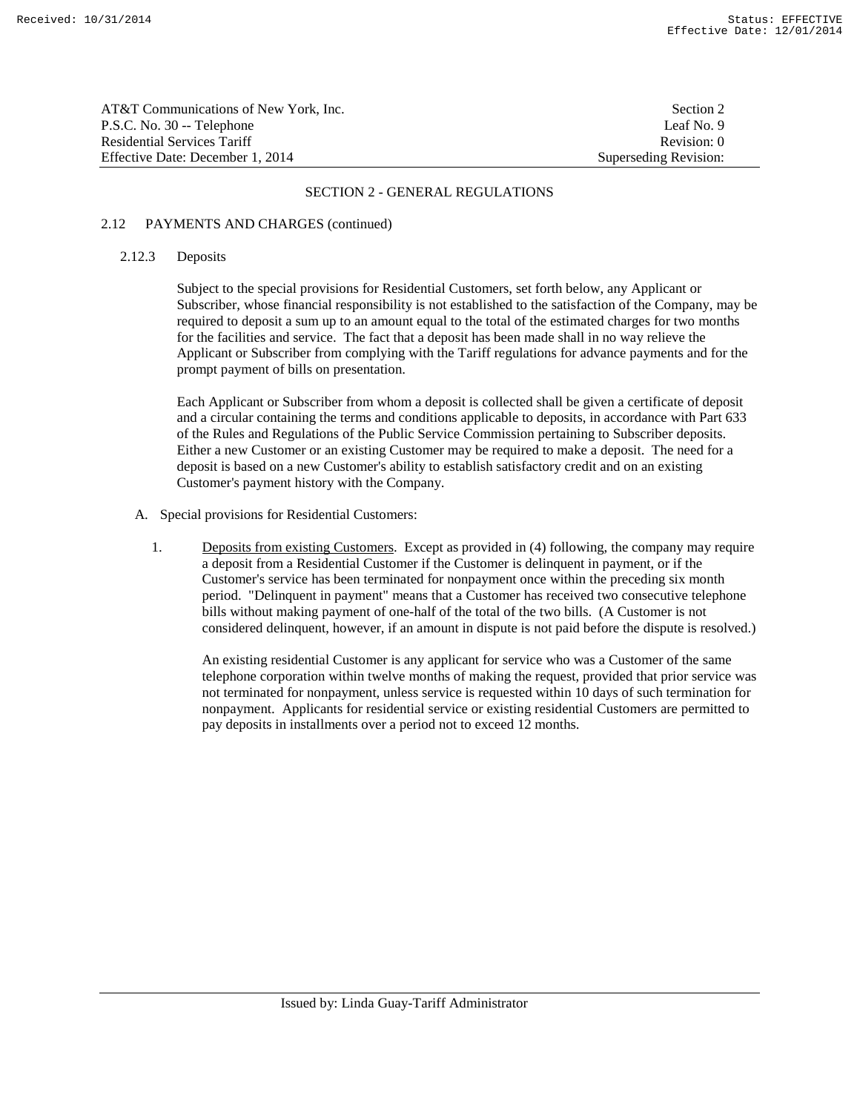| AT&T Communications of New York. Inc. | Section 2             |
|---------------------------------------|-----------------------|
| P.S.C. No. 30 -- Telephone            | Leaf No. 9            |
| Residential Services Tariff           | Revision: 0           |
| Effective Date: December 1, 2014      | Superseding Revision: |

# 2.12 PAYMENTS AND CHARGES (continued)

### 2.12.3 Deposits

 Subject to the special provisions for Residential Customers, set forth below, any Applicant or Subscriber, whose financial responsibility is not established to the satisfaction of the Company, may be required to deposit a sum up to an amount equal to the total of the estimated charges for two months for the facilities and service. The fact that a deposit has been made shall in no way relieve the Applicant or Subscriber from complying with the Tariff regulations for advance payments and for the prompt payment of bills on presentation.

Each Applicant or Subscriber from whom a deposit is collected shall be given a certificate of deposit and a circular containing the terms and conditions applicable to deposits, in accordance with Part 633 of the Rules and Regulations of the Public Service Commission pertaining to Subscriber deposits. Either a new Customer or an existing Customer may be required to make a deposit. The need for a deposit is based on a new Customer's ability to establish satisfactory credit and on an existing Customer's payment history with the Company.

- A. Special provisions for Residential Customers:
	- 1. Deposits from existing Customers. Except as provided in (4) following, the company may require a deposit from a Residential Customer if the Customer is delinquent in payment, or if the Customer's service has been terminated for nonpayment once within the preceding six month period. "Delinquent in payment" means that a Customer has received two consecutive telephone bills without making payment of one-half of the total of the two bills. (A Customer is not considered delinquent, however, if an amount in dispute is not paid before the dispute is resolved.)

 An existing residential Customer is any applicant for service who was a Customer of the same telephone corporation within twelve months of making the request, provided that prior service was not terminated for nonpayment, unless service is requested within 10 days of such termination for nonpayment. Applicants for residential service or existing residential Customers are permitted to pay deposits in installments over a period not to exceed 12 months.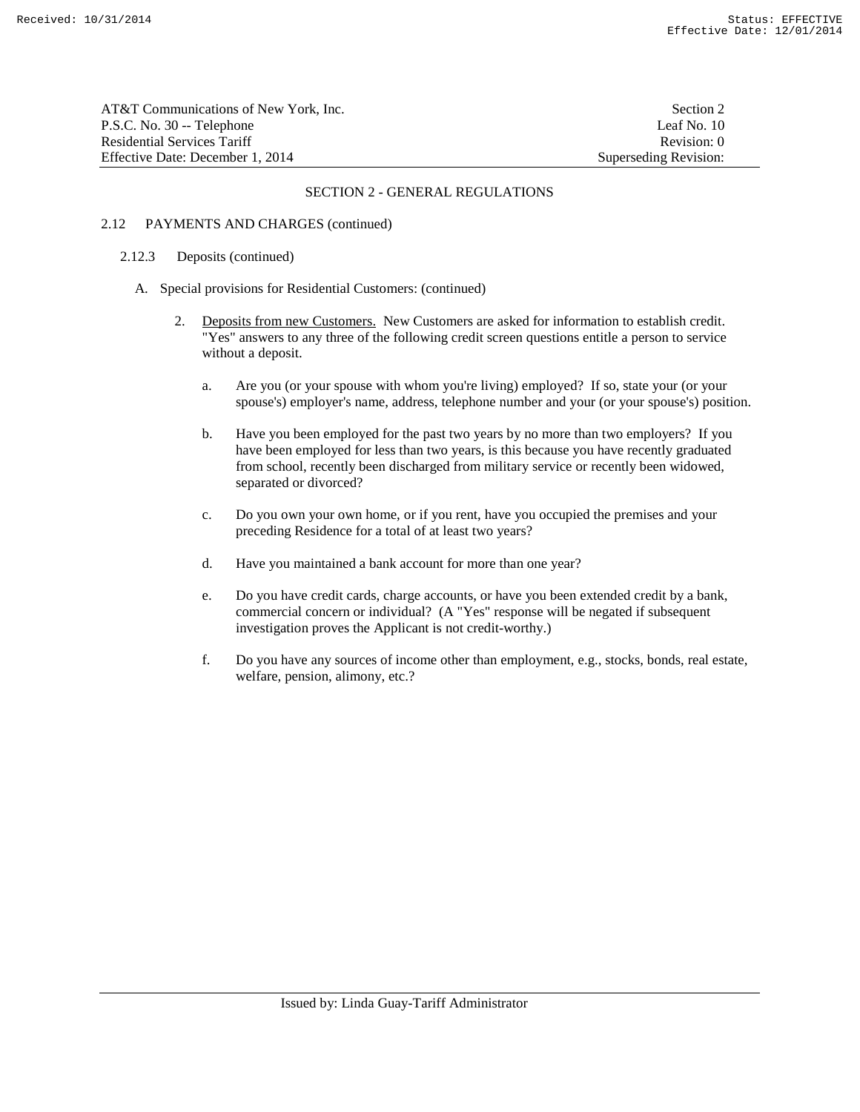| AT&T Communications of New York. Inc. | Section 2             |
|---------------------------------------|-----------------------|
| P.S.C. No. 30 -- Telephone            | Leaf No. 10           |
| Residential Services Tariff           | Revision: 0           |
| Effective Date: December 1, 2014      | Superseding Revision: |

## 2.12 PAYMENTS AND CHARGES (continued)

### 2.12.3 Deposits (continued)

- A. Special provisions for Residential Customers: (continued)
	- 2. Deposits from new Customers. New Customers are asked for information to establish credit. "Yes" answers to any three of the following credit screen questions entitle a person to service without a deposit.
		- a. Are you (or your spouse with whom you're living) employed? If so, state your (or your spouse's) employer's name, address, telephone number and your (or your spouse's) position.
		- b. Have you been employed for the past two years by no more than two employers? If you have been employed for less than two years, is this because you have recently graduated from school, recently been discharged from military service or recently been widowed, separated or divorced?
		- c. Do you own your own home, or if you rent, have you occupied the premises and your preceding Residence for a total of at least two years?
		- d. Have you maintained a bank account for more than one year?
		- e. Do you have credit cards, charge accounts, or have you been extended credit by a bank, commercial concern or individual? (A "Yes" response will be negated if subsequent investigation proves the Applicant is not credit-worthy.)
		- f. Do you have any sources of income other than employment, e.g., stocks, bonds, real estate, welfare, pension, alimony, etc.?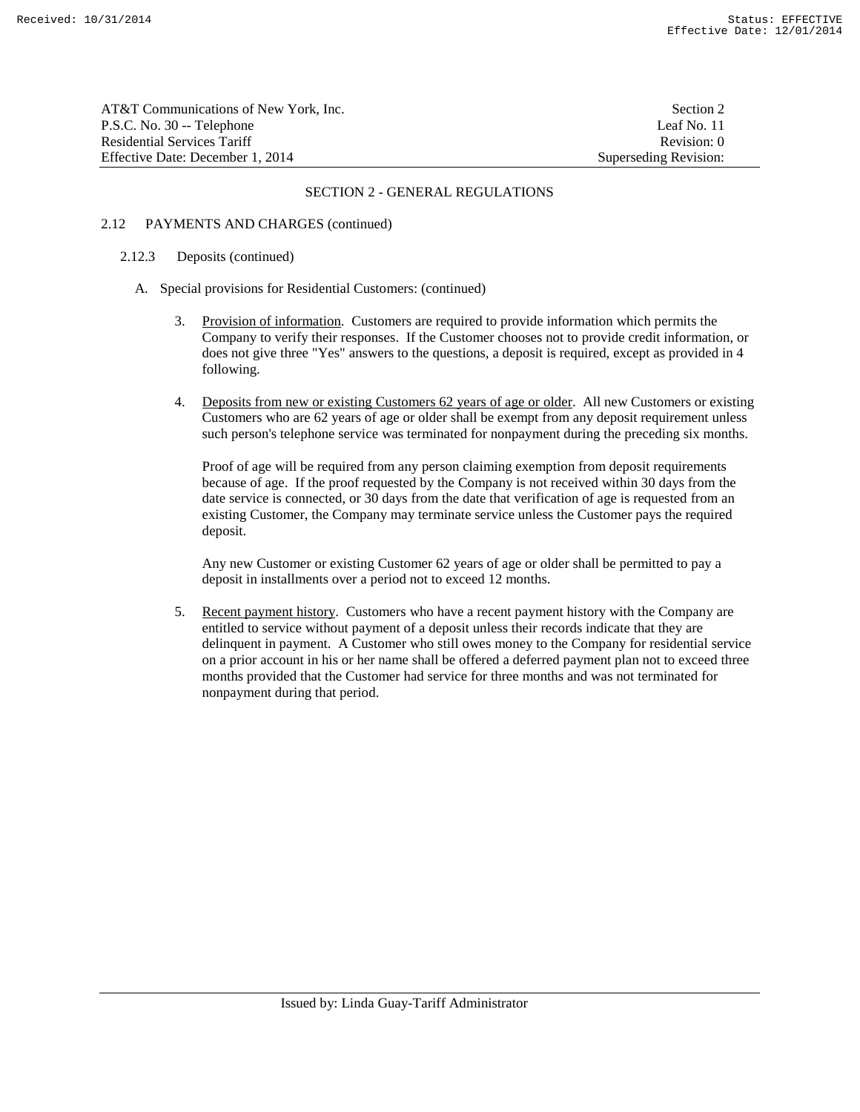| AT&T Communications of New York. Inc. | Section 2             |
|---------------------------------------|-----------------------|
| P.S.C. No. 30 -- Telephone            | Leaf No. 11           |
| Residential Services Tariff           | Revision: 0           |
| Effective Date: December 1, 2014      | Superseding Revision: |

# 2.12 PAYMENTS AND CHARGES (continued)

# 2.12.3 Deposits (continued)

- A. Special provisions for Residential Customers: (continued)
	- 3. Provision of information. Customers are required to provide information which permits the Company to verify their responses. If the Customer chooses not to provide credit information, or does not give three "Yes" answers to the questions, a deposit is required, except as provided in 4 following.
	- 4. Deposits from new or existing Customers 62 years of age or older. All new Customers or existing Customers who are 62 years of age or older shall be exempt from any deposit requirement unless such person's telephone service was terminated for nonpayment during the preceding six months.

 Proof of age will be required from any person claiming exemption from deposit requirements because of age. If the proof requested by the Company is not received within 30 days from the date service is connected, or 30 days from the date that verification of age is requested from an existing Customer, the Company may terminate service unless the Customer pays the required deposit.

 Any new Customer or existing Customer 62 years of age or older shall be permitted to pay a deposit in installments over a period not to exceed 12 months.

 5. Recent payment history. Customers who have a recent payment history with the Company are entitled to service without payment of a deposit unless their records indicate that they are delinquent in payment. A Customer who still owes money to the Company for residential service on a prior account in his or her name shall be offered a deferred payment plan not to exceed three months provided that the Customer had service for three months and was not terminated for nonpayment during that period.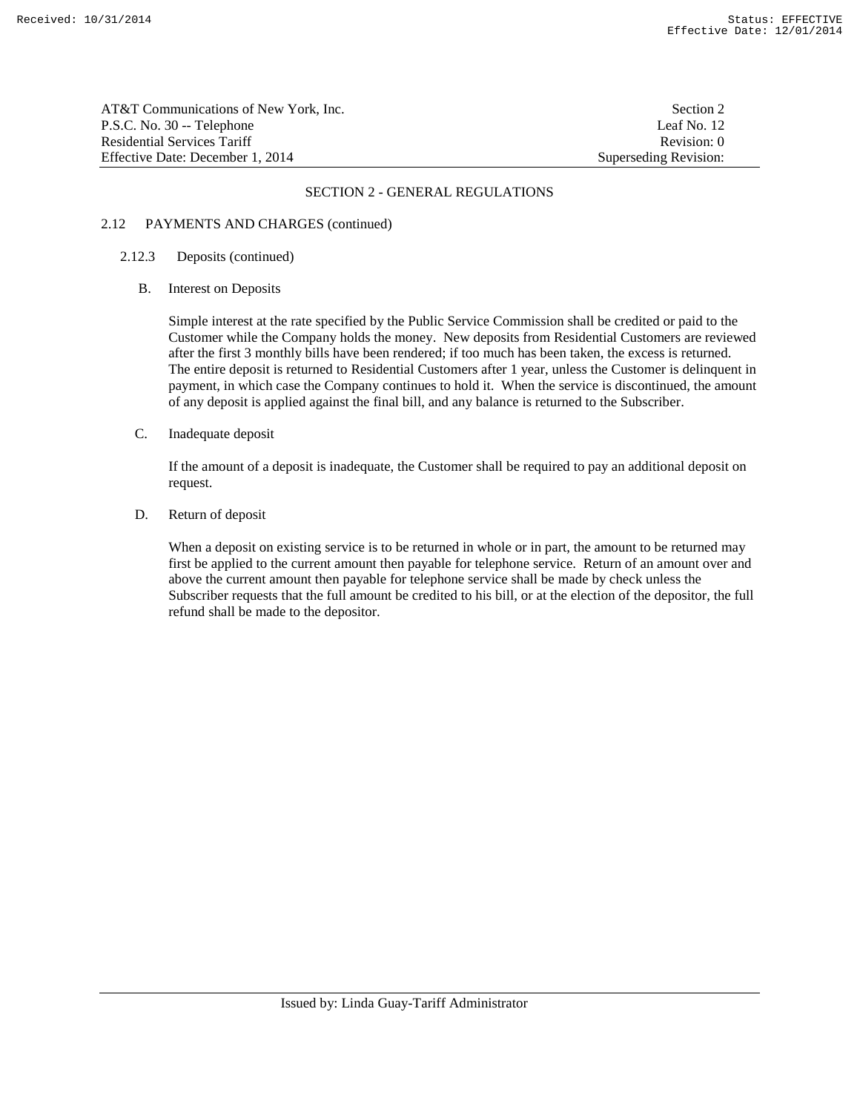AT&T Communications of New York, Inc. Section 2 P.S.C. No. 30 -- Telephone Leaf No. 12 Residential Services Tariff **Revision:** 0 Effective Date: December 1, 2014 Superseding Revision:

## SECTION 2 - GENERAL REGULATIONS

# 2.12 PAYMENTS AND CHARGES (continued)

## 2.12.3 Deposits (continued)

B. Interest on Deposits

 Simple interest at the rate specified by the Public Service Commission shall be credited or paid to the Customer while the Company holds the money. New deposits from Residential Customers are reviewed after the first 3 monthly bills have been rendered; if too much has been taken, the excess is returned. The entire deposit is returned to Residential Customers after 1 year, unless the Customer is delinquent in payment, in which case the Company continues to hold it. When the service is discontinued, the amount of any deposit is applied against the final bill, and any balance is returned to the Subscriber.

C. Inadequate deposit

 If the amount of a deposit is inadequate, the Customer shall be required to pay an additional deposit on request.

D. Return of deposit

 When a deposit on existing service is to be returned in whole or in part, the amount to be returned may first be applied to the current amount then payable for telephone service. Return of an amount over and above the current amount then payable for telephone service shall be made by check unless the Subscriber requests that the full amount be credited to his bill, or at the election of the depositor, the full refund shall be made to the depositor.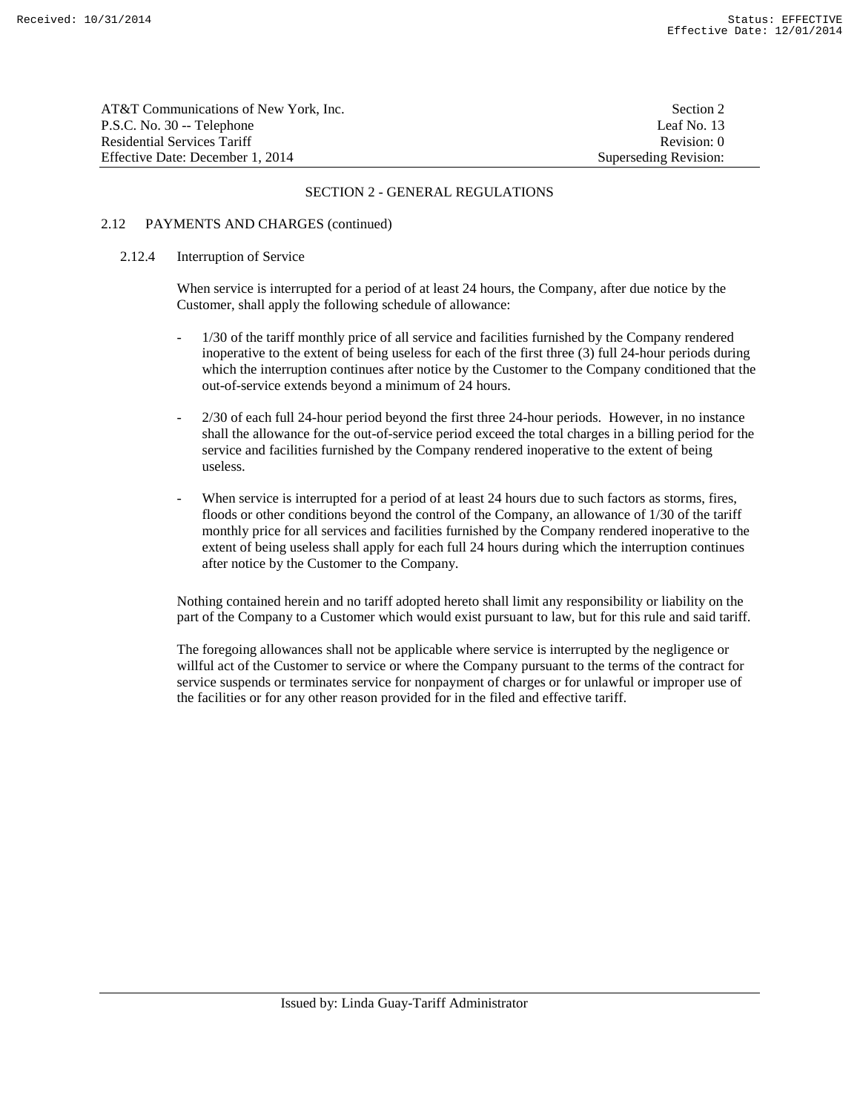| AT&T Communications of New York. Inc. | Section 2             |
|---------------------------------------|-----------------------|
| P.S.C. No. 30 -- Telephone            | Leaf No. 13           |
| Residential Services Tariff           | Revision: 0           |
| Effective Date: December 1, 2014      | Superseding Revision: |

## 2.12 PAYMENTS AND CHARGES (continued)

### 2.12.4 Interruption of Service

 When service is interrupted for a period of at least 24 hours, the Company, after due notice by the Customer, shall apply the following schedule of allowance:

- 1/30 of the tariff monthly price of all service and facilities furnished by the Company rendered inoperative to the extent of being useless for each of the first three (3) full 24-hour periods during which the interruption continues after notice by the Customer to the Company conditioned that the out-of-service extends beyond a minimum of 24 hours.
- 2/30 of each full 24-hour period beyond the first three 24-hour periods. However, in no instance shall the allowance for the out-of-service period exceed the total charges in a billing period for the service and facilities furnished by the Company rendered inoperative to the extent of being useless.
- When service is interrupted for a period of at least 24 hours due to such factors as storms, fires, floods or other conditions beyond the control of the Company, an allowance of 1/30 of the tariff monthly price for all services and facilities furnished by the Company rendered inoperative to the extent of being useless shall apply for each full 24 hours during which the interruption continues after notice by the Customer to the Company.

 Nothing contained herein and no tariff adopted hereto shall limit any responsibility or liability on the part of the Company to a Customer which would exist pursuant to law, but for this rule and said tariff.

 The foregoing allowances shall not be applicable where service is interrupted by the negligence or willful act of the Customer to service or where the Company pursuant to the terms of the contract for service suspends or terminates service for nonpayment of charges or for unlawful or improper use of the facilities or for any other reason provided for in the filed and effective tariff.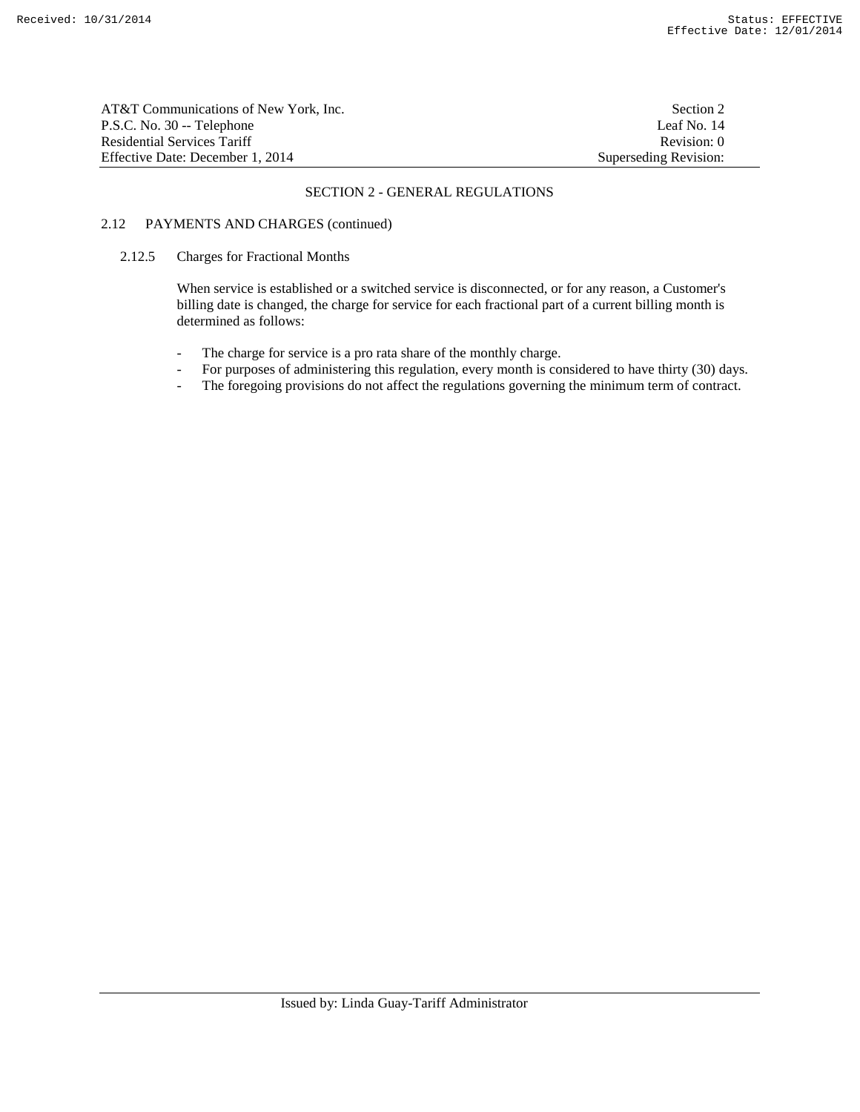| AT&T Communications of New York, Inc. | Section 2             |
|---------------------------------------|-----------------------|
| P.S.C. No. 30 -- Telephone            | Leaf No. 14           |
| Residential Services Tariff           | Revision: 0           |
| Effective Date: December 1. 2014      | Superseding Revision: |

# 2.12 PAYMENTS AND CHARGES (continued)

## 2.12.5 Charges for Fractional Months

 When service is established or a switched service is disconnected, or for any reason, a Customer's billing date is changed, the charge for service for each fractional part of a current billing month is determined as follows:

- The charge for service is a pro rata share of the monthly charge.
- For purposes of administering this regulation, every month is considered to have thirty (30) days.
- The foregoing provisions do not affect the regulations governing the minimum term of contract.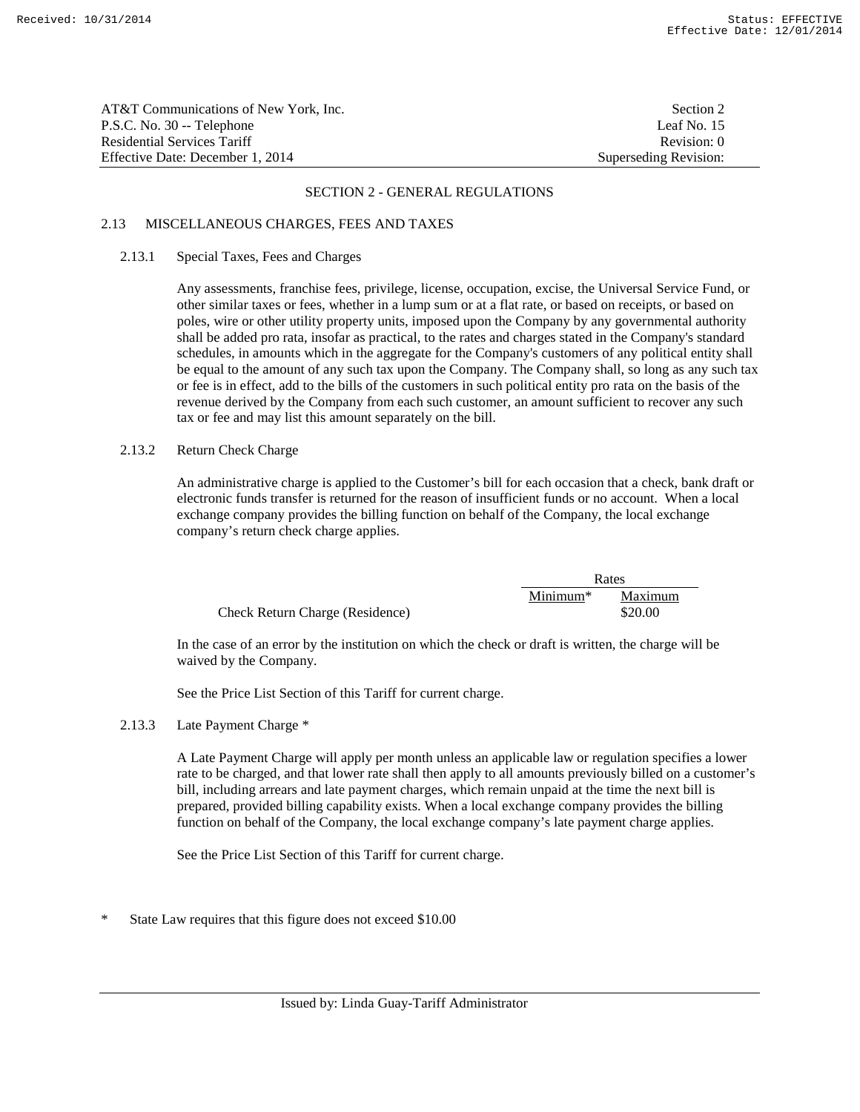| AT&T Communications of New York, Inc. | Section 2             |
|---------------------------------------|-----------------------|
| P.S.C. No. 30 -- Telephone            | Leaf No. 15           |
| Residential Services Tariff           | Revision: 0           |
| Effective Date: December 1, 2014      | Superseding Revision: |

# 2.13 MISCELLANEOUS CHARGES, FEES AND TAXES

### 2.13.1 Special Taxes, Fees and Charges

 Any assessments, franchise fees, privilege, license, occupation, excise, the Universal Service Fund, or other similar taxes or fees, whether in a lump sum or at a flat rate, or based on receipts, or based on poles, wire or other utility property units, imposed upon the Company by any governmental authority shall be added pro rata, insofar as practical, to the rates and charges stated in the Company's standard schedules, in amounts which in the aggregate for the Company's customers of any political entity shall be equal to the amount of any such tax upon the Company. The Company shall, so long as any such tax or fee is in effect, add to the bills of the customers in such political entity pro rata on the basis of the revenue derived by the Company from each such customer, an amount sufficient to recover any such tax or fee and may list this amount separately on the bill.

## 2.13.2 Return Check Charge

 An administrative charge is applied to the Customer's bill for each occasion that a check, bank draft or electronic funds transfer is returned for the reason of insufficient funds or no account. When a local exchange company provides the billing function on behalf of the Company, the local exchange company's return check charge applies.

|                                 |            | Rates   |  |
|---------------------------------|------------|---------|--|
|                                 | $Minimum*$ | Maximum |  |
| Check Return Charge (Residence) |            | \$20.00 |  |

 In the case of an error by the institution on which the check or draft is written, the charge will be waived by the Company.

See the Price List Section of this Tariff for current charge.

# 2.13.3 Late Payment Charge \*

 A Late Payment Charge will apply per month unless an applicable law or regulation specifies a lower rate to be charged, and that lower rate shall then apply to all amounts previously billed on a customer's bill, including arrears and late payment charges, which remain unpaid at the time the next bill is prepared, provided billing capability exists. When a local exchange company provides the billing function on behalf of the Company, the local exchange company's late payment charge applies.

See the Price List Section of this Tariff for current charge.

State Law requires that this figure does not exceed \$10.00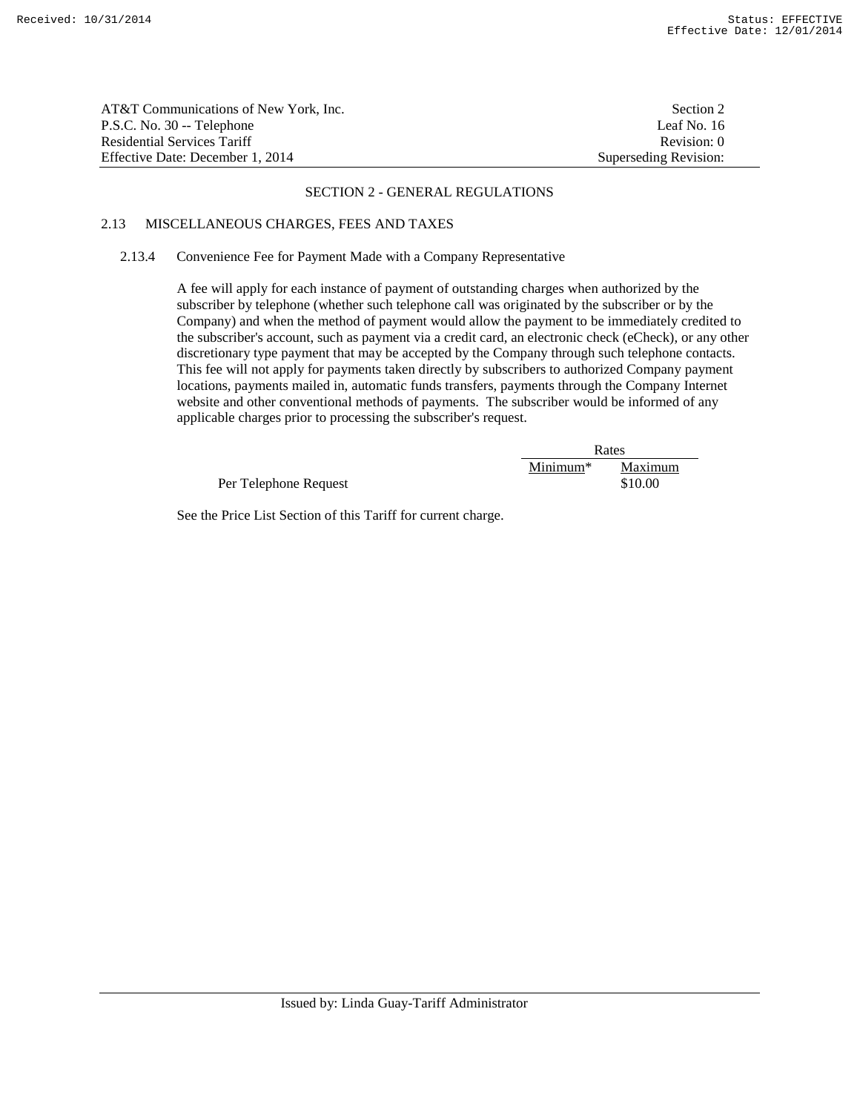| AT&T Communications of New York, Inc. | Section 2             |
|---------------------------------------|-----------------------|
| P.S.C. No. 30 -- Telephone            | Leaf No. 16           |
| Residential Services Tariff           | Revision: 0           |
| Effective Date: December 1, 2014      | Superseding Revision: |

# 2.13 MISCELLANEOUS CHARGES, FEES AND TAXES

## 2.13.4 Convenience Fee for Payment Made with a Company Representative

 A fee will apply for each instance of payment of outstanding charges when authorized by the subscriber by telephone (whether such telephone call was originated by the subscriber or by the Company) and when the method of payment would allow the payment to be immediately credited to the subscriber's account, such as payment via a credit card, an electronic check (eCheck), or any other discretionary type payment that may be accepted by the Company through such telephone contacts. This fee will not apply for payments taken directly by subscribers to authorized Company payment locations, payments mailed in, automatic funds transfers, payments through the Company Internet website and other conventional methods of payments. The subscriber would be informed of any applicable charges prior to processing the subscriber's request.

|                       | Rates      |         |
|-----------------------|------------|---------|
|                       | $Minimum*$ | Maximum |
| Per Telephone Request |            | \$10.00 |

See the Price List Section of this Tariff for current charge.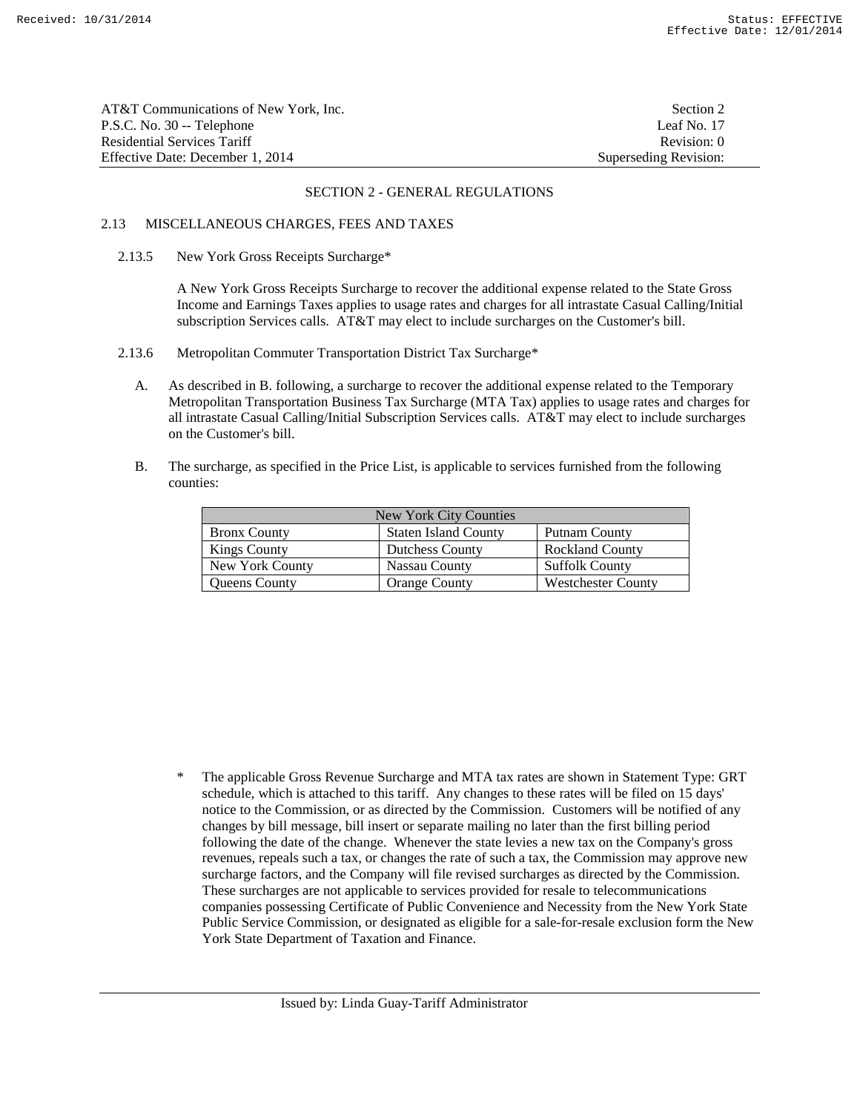| AT&T Communications of New York, Inc. | Section 2             |
|---------------------------------------|-----------------------|
| P.S.C. No. 30 -- Telephone            | Leaf No. 17           |
| Residential Services Tariff           | Revision: 0           |
| Effective Date: December 1, 2014      | Superseding Revision: |

# 2.13 MISCELLANEOUS CHARGES, FEES AND TAXES

### 2.13.5 New York Gross Receipts Surcharge\*

 A New York Gross Receipts Surcharge to recover the additional expense related to the State Gross Income and Earnings Taxes applies to usage rates and charges for all intrastate Casual Calling/Initial subscription Services calls. AT&T may elect to include surcharges on the Customer's bill.

- 2.13.6 Metropolitan Commuter Transportation District Tax Surcharge\*
	- A. As described in B. following, a surcharge to recover the additional expense related to the Temporary Metropolitan Transportation Business Tax Surcharge (MTA Tax) applies to usage rates and charges for all intrastate Casual Calling/Initial Subscription Services calls. AT&T may elect to include surcharges on the Customer's bill.
	- B. The surcharge, as specified in the Price List, is applicable to services furnished from the following counties:

| New York City Counties |                             |                           |
|------------------------|-----------------------------|---------------------------|
| <b>Bronx County</b>    | <b>Staten Island County</b> | Putnam County             |
| <b>Kings County</b>    | <b>Dutchess County</b>      | <b>Rockland County</b>    |
| New York County        | Nassau County               | <b>Suffolk County</b>     |
| <b>Oueens County</b>   | <b>Orange County</b>        | <b>Westchester County</b> |

\* The applicable Gross Revenue Surcharge and MTA tax rates are shown in Statement Type: GRT schedule, which is attached to this tariff. Any changes to these rates will be filed on 15 days' notice to the Commission, or as directed by the Commission. Customers will be notified of any changes by bill message, bill insert or separate mailing no later than the first billing period following the date of the change. Whenever the state levies a new tax on the Company's gross revenues, repeals such a tax, or changes the rate of such a tax, the Commission may approve new surcharge factors, and the Company will file revised surcharges as directed by the Commission. These surcharges are not applicable to services provided for resale to telecommunications companies possessing Certificate of Public Convenience and Necessity from the New York State Public Service Commission, or designated as eligible for a sale-for-resale exclusion form the New York State Department of Taxation and Finance.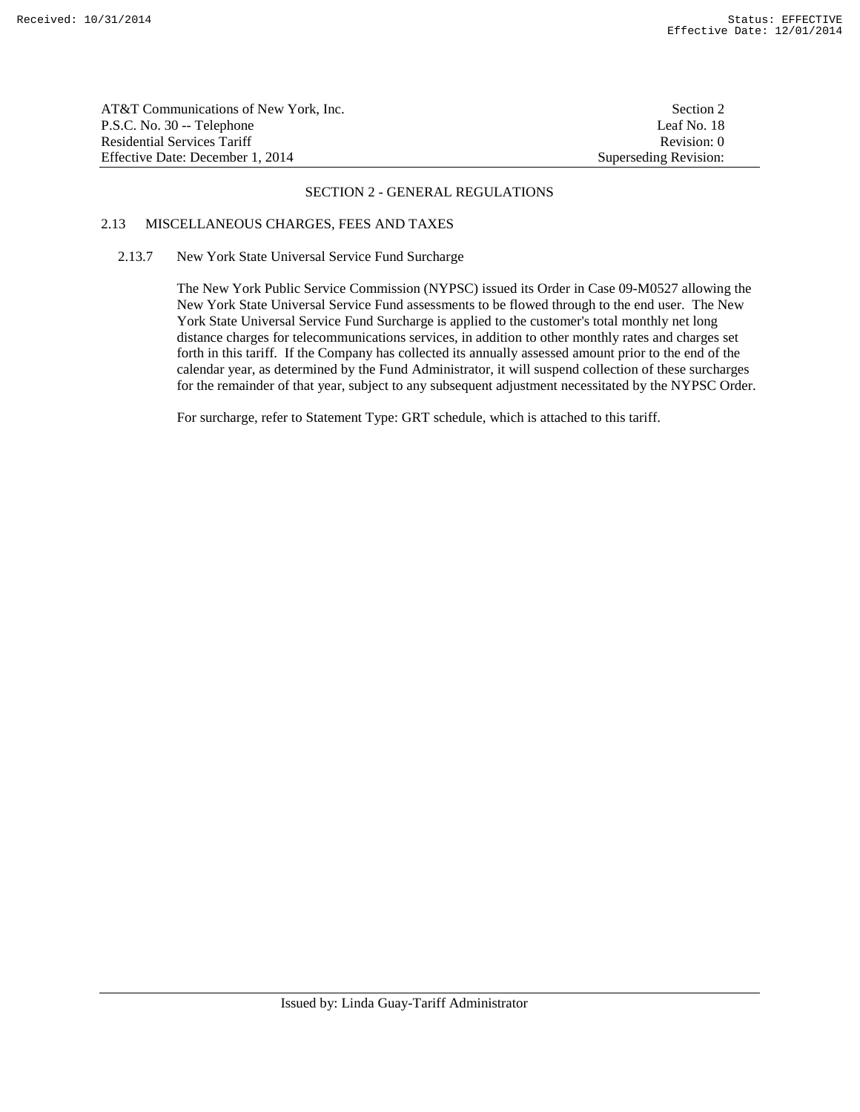| AT&T Communications of New York, Inc. | Section 2             |
|---------------------------------------|-----------------------|
| P.S.C. No. 30 -- Telephone            | Leaf No. 18           |
| Residential Services Tariff           | Revision: 0           |
| Effective Date: December 1, 2014      | Superseding Revision: |

# 2.13 MISCELLANEOUS CHARGES, FEES AND TAXES

# 2.13.7 New York State Universal Service Fund Surcharge

 The New York Public Service Commission (NYPSC) issued its Order in Case 09-M0527 allowing the New York State Universal Service Fund assessments to be flowed through to the end user. The New York State Universal Service Fund Surcharge is applied to the customer's total monthly net long distance charges for telecommunications services, in addition to other monthly rates and charges set forth in this tariff. If the Company has collected its annually assessed amount prior to the end of the calendar year, as determined by the Fund Administrator, it will suspend collection of these surcharges for the remainder of that year, subject to any subsequent adjustment necessitated by the NYPSC Order.

For surcharge, refer to Statement Type: GRT schedule, which is attached to this tariff.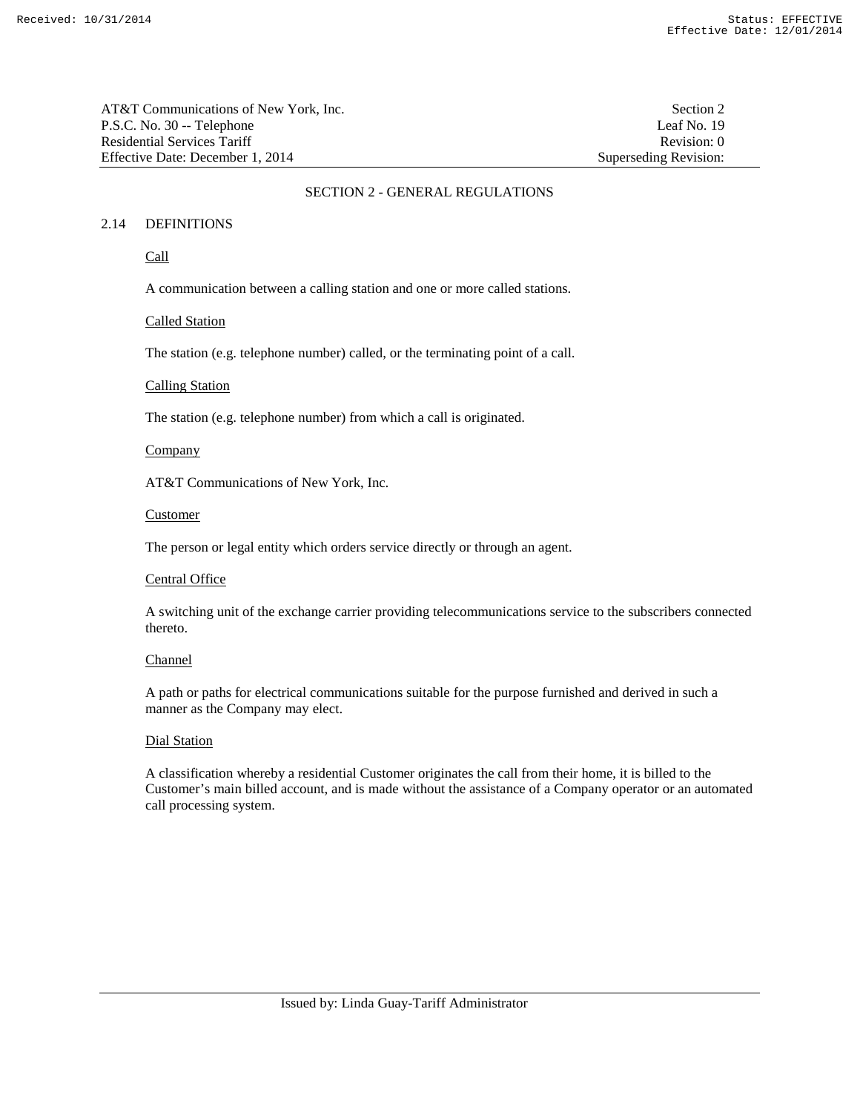| AT&T Communications of New York, Inc. | Section 2             |
|---------------------------------------|-----------------------|
| P.S.C. No. 30 -- Telephone            | Leaf No. 19           |
| <b>Residential Services Tariff</b>    | Revision: 0           |
| Effective Date: December 1, 2014      | Superseding Revision: |

Superseding Revision:

## SECTION 2 - GENERAL REGULATIONS

# 2.14 DEFINITIONS

Call

A communication between a calling station and one or more called stations.

### Called Station

The station (e.g. telephone number) called, or the terminating point of a call.

### Calling Station

The station (e.g. telephone number) from which a call is originated.

## **Company**

AT&T Communications of New York, Inc.

#### **Customer**

The person or legal entity which orders service directly or through an agent.

# Central Office

 A switching unit of the exchange carrier providing telecommunications service to the subscribers connected thereto.

## Channel

 A path or paths for electrical communications suitable for the purpose furnished and derived in such a manner as the Company may elect.

## Dial Station

 A classification whereby a residential Customer originates the call from their home, it is billed to the Customer's main billed account, and is made without the assistance of a Company operator or an automated call processing system.